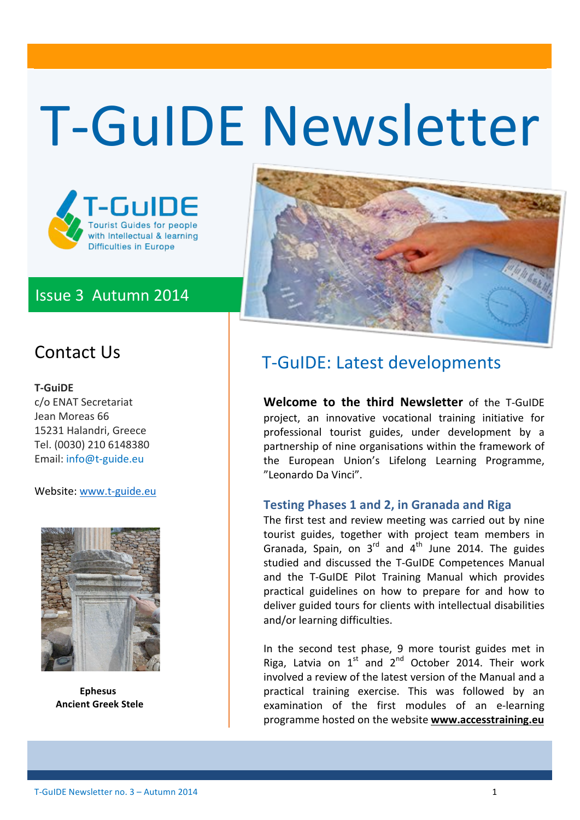# T-GuIDE Newsletter



### Issue 3 Autumn 2014



### Contact Us

#### **T3GuiDE**

c/o ENAT Secretariat Jean Moreas 66 15231 Halandri, Greece Tel. (0030) 210 6148380 Email: info@t-guide.eu

Website: www.t-guide.eu



!!!!!!!!!!!!!!!**Ephesus Ancient Greek Stele** 

## T-GuIDE: Latest developments

**Welcome to the third Newsletter** of the T-GuIDE project, an innovative vocational training initiative for professional tourist guides, under development by a partnership of nine organisations within the framework of the European Union's Lifelong Learning Programme, "Leonardo Da Vinci".

### **Testing'Phases 1'and'2,'in'Granada'and'Riga**

The first test and review meeting was carried out by nine tourist guides, together with project team members in Granada, Spain, on  $3<sup>rd</sup>$  and  $4<sup>th</sup>$  June 2014. The guides studied and discussed the T-GuIDE Competences Manual and the T-GuIDE Pilot Training Manual which provides practical guidelines on how to prepare for and how to deliver guided tours for clients with intellectual disabilities and/or learning difficulties.

In the second test phase, 9 more tourist guides met in Riga, Latvia on  $1<sup>st</sup>$  and  $2<sup>nd</sup>$  October 2014. Their work involved a review of the latest version of the Manual and a practical training exercise. This was followed by an examination of the first modules of an e-learning programme hosted on the website www.accesstraining.eu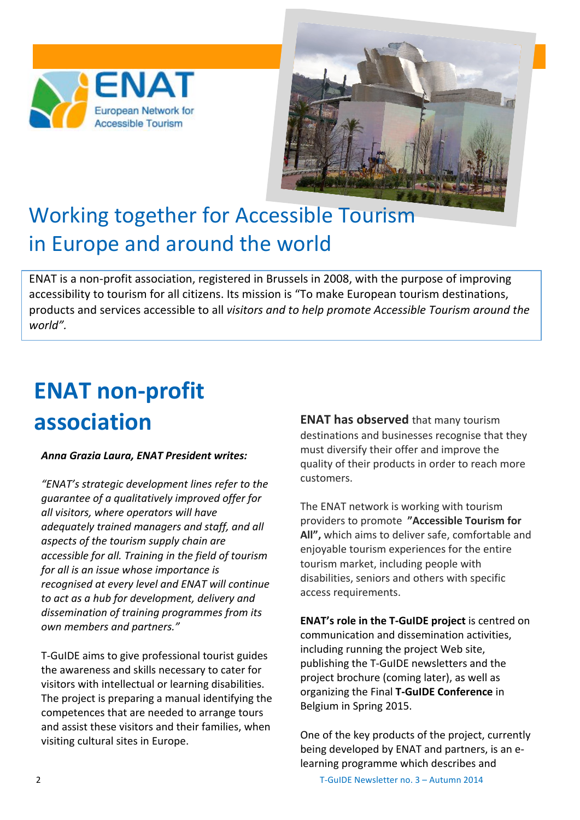



# Working together for Accessible Tourism in Europe and around the world

ENAT is a non-profit association, registered in Brussels in 2008, with the purpose of improving accessibility to tourism for all citizens. Its mission is "To make European tourism destinations, products and services accessible to all *visitors and to help promote Accessible Tourism around the* world".

# **ENAT non-profit association**

#### *Anna\$Grazia\$Laura,\$ENAT\$President\$writes:*

"ENAT's strategic development lines refer to the *guarantee!of!a!qualitatively!improved!offer!for! all visitors, where operators will have* adequately trained managers and staff, and all aspects of the tourism supply chain are accessible for all. Training in the field of tourism *for all is an issue whose importance is recognised at every level and ENAT will continue to!act!as!a!hub!for!development,!delivery and!* dissemination of training programmes from its *own!members!and!partners."*

T-GuIDE aims to give professional tourist guides the awareness and skills necessary to cater for visitors with intellectual or learning disabilities. The project is preparing a manual identifying the competences that are needed to arrange tours and assist these visitors and their families, when visiting cultural sites in Europe.

**ENAT has observed** that many tourism destinations and businesses recognise that they must diversify their offer and improve the quality of their products in order to reach more customers.

The ENAT network is working with tourism providers to promote "Accessible Tourism for All", which aims to deliver safe, comfortable and enjoyable tourism experiences for the entire tourism market, including people with disabilities, seniors and others with specific access requirements.

**ENAT's role in the T-GuIDE project** is centred on communication and dissemination activities, including running the project Web site, publishing the T-GuIDE newsletters and the project brochure (coming later), as well as organizing the Final T-GuIDE Conference in Belgium in Spring 2015.

One of the key products of the project, currently being developed by ENAT and partners, is an elearning programme which describes and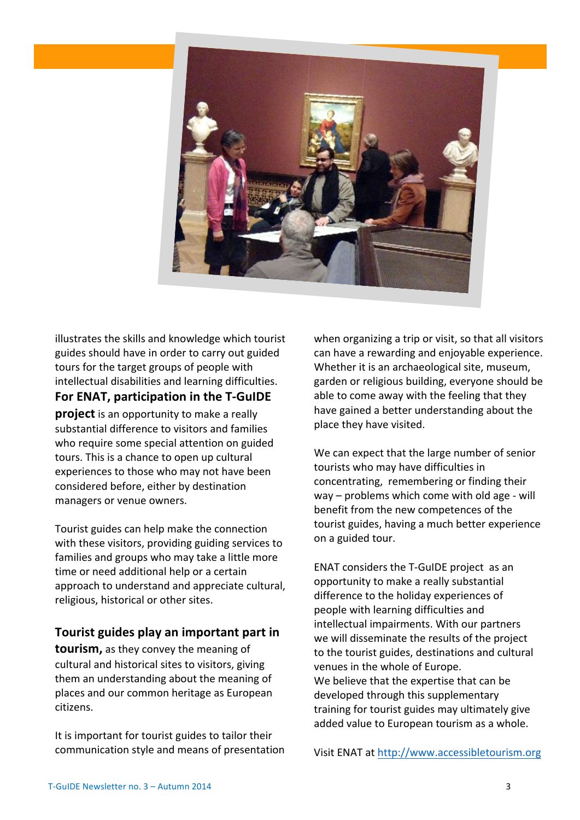

illustrates the skills and knowledge which tourist guides should have in order to carry out guided tours for the target groups of people with intellectual disabilities and learning difficulties. For ENAT, participation in the T-GuIDE **project** is an opportunity to make a really substantial difference to visitors and families who require some special attention on guided tours. This is a chance to open up cultural experiences to those who may not have been considered before, either by destination managers or venue owners.

Tourist guides can help make the connection with these visitors, providing guiding services to families and groups who may take a little more time or need additional help or a certain approach to understand and appreciate cultural, religious, historical or other sites.

### Tourist guides play an important part in

**tourism,** as they convey the meaning of cultural and historical sites to visitors, giving them an understanding about the meaning of places and our common heritage as European citizens.

It is important for tourist guides to tailor their communication style and means of presentation when organizing a trip or visit, so that all visitors can have a rewarding and enjoyable experience. Whether it is an archaeological site, museum, garden or religious building, everyone should be able to come away with the feeling that they have gained a better understanding about the place they have visited.

We can expect that the large number of senior tourists who may have difficulties in concentrating, remembering or finding their way – problems which come with old age - will benefit from the new competences of the tourist guides, having a much better experience on a guided tour.

ENAT considers the T-GuIDE project as an opportunity to make a really substantial difference to the holiday experiences of people with learning difficulties and intellectual impairments. With our partners we will disseminate the results of the project to the tourist guides, destinations and cultural venues in the whole of Europe. We believe that the expertise that can be developed through this supplementary training for tourist guides may ultimately give added value to European tourism as a whole.

Visit ENAT at http://www.accessibletourism.org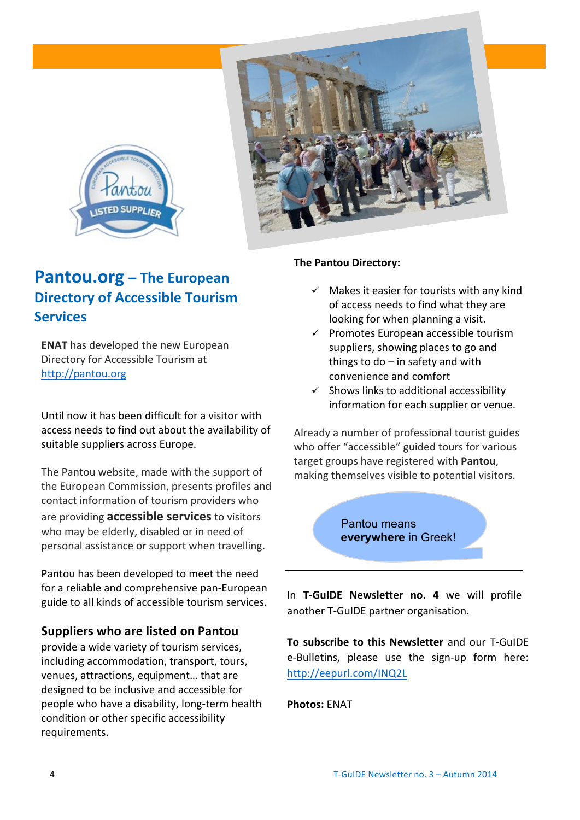



### **Pantou.org** – The European **Directory of Accessible Tourism Services**

**ENAT** has developed the new European Directory for Accessible Tourism at http://pantou.org

Until now it has been difficult for a visitor with access needs to find out about the availability of suitable suppliers across Europe.

The Pantou website, made with the support of the European Commission, presents profiles and contact information of tourism providers who are providing **accessible services** to visitors who may be elderly, disabled or in need of personal assistance or support when travelling.

Pantou has been developed to meet the need for a reliable and comprehensive pan-European guide to all kinds of accessible tourism services.

### **Suppliers'who'are listed'on'Pantou**

provide a wide variety of tourism services, including accommodation, transport, tours, venues, attractions, equipment... that are designed to be inclusive and accessible for people who have a disability, long-term health condition or other specific accessibility requirements.

#### **The Pantou Directory:**

- $\checkmark$  Makes it easier for tourists with any kind of access needs to find what they are looking for when planning a visit.
- $\checkmark$  Promotes European accessible tourism suppliers, showing places to go and things to  $do$  – in safety and with convenience and comfort
- $\checkmark$  Shows links to additional accessibility information for each supplier or venue.

Already a number of professional tourist guides who offer "accessible" guided tours for various target groups have registered with Pantou. making themselves visible to potential visitors.

> Pantou means **everywhere** in Greek!

In T-GuIDE Newsletter no. 4 we will profile another T-GuIDE partner organisation.

**To subscribe to this Newsletter** and our T-GuIDE e-Bulletins, please use the sign-up form here: http://eepurl.com/INQ2L

**Photos:** ENAT